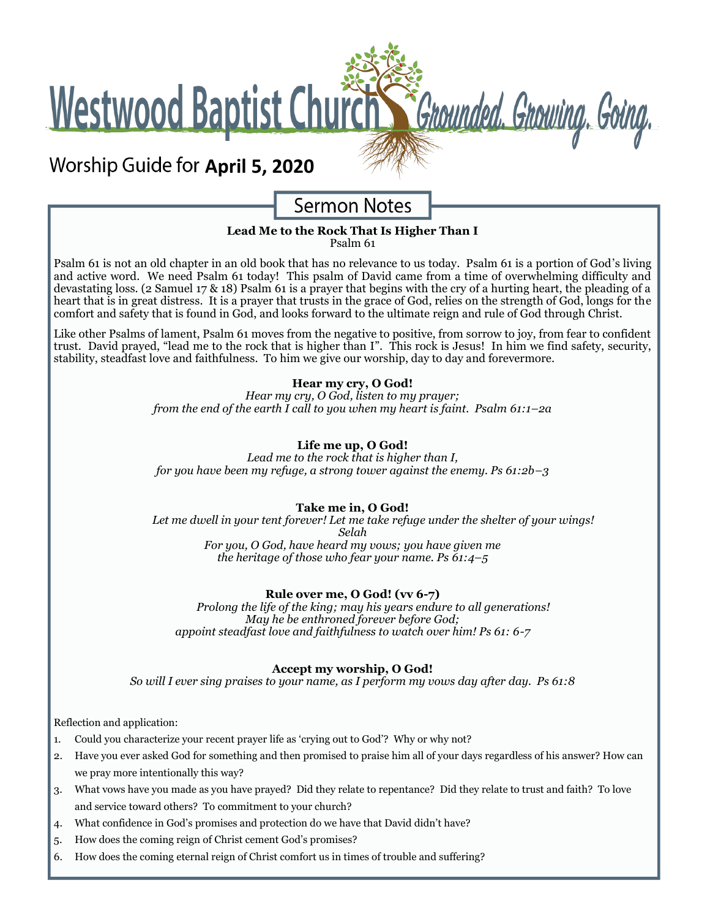Westwood Baptist Church St Grounded. Growing. Going.

## **Worship Guide for April 5, 2020**

## **Sermon Notes**

### **Lead Me to the Rock That Is Higher Than I**

Psalm 61

Psalm 61 is not an old chapter in an old book that has no relevance to us today. Psalm 61 is a portion of God's living and active word. We need Psalm 61 today! This psalm of David came from a time of overwhelming difficulty and devastating loss. (2 Samuel 17 & 18) Psalm 61 is a prayer that begins with the cry of a hurting heart, the pleading of a heart that is in great distress. It is a prayer that trusts in the grace of God, relies on the strength of God, longs for the comfort and safety that is found in God, and looks forward to the ultimate reign and rule of God through Christ.

Like other Psalms of lament, Psalm 61 moves from the negative to positive, from sorrow to joy, from fear to confident trust. David prayed, "lead me to the rock that is higher than I". This rock is Jesus! In him we find safety, security, stability, steadfast love and faithfulness. To him we give our worship, day to day and forevermore.

#### **Hear my cry, O God!**

*Hear my cry, O God, listen to my prayer; from the end of the earth I call to you when my heart is faint. Psalm 61:1–2a*

#### **Life me up, O God!**

*Lead me to the rock that is higher than I, for you have been my refuge, a strong tower against the enemy. Ps 61:2b–3*

#### **Take me in, O God!**

*Let me dwell in your tent forever! Let me take refuge under the shelter of your wings! Selah For you, O God, have heard my vows; you have given me the heritage of those who fear your name. Ps 61:4–5*

#### **Rule over me, O God! (vv 6-7)**

*Prolong the life of the king; may his years endure to all generations! May he be enthroned forever before God; appoint steadfast love and faithfulness to watch over him! Ps 61: 6-7*

#### **Accept my worship, O God!**

*So will I ever sing praises to your name, as I perform my vows day after day. Ps 61:8*

Reflection and application:

- 1. Could you characterize your recent prayer life as 'crying out to God'? Why or why not?
- 2. Have you ever asked God for something and then promised to praise him all of your days regardless of his answer? How can we pray more intentionally this way?
- 3. What vows have you made as you have prayed? Did they relate to repentance? Did they relate to trust and faith? To love and service toward others? To commitment to your church?
- 4. What confidence in God's promises and protection do we have that David didn't have?
- 5. How does the coming reign of Christ cement God's promises?
- 6. How does the coming eternal reign of Christ comfort us in times of trouble and suffering?